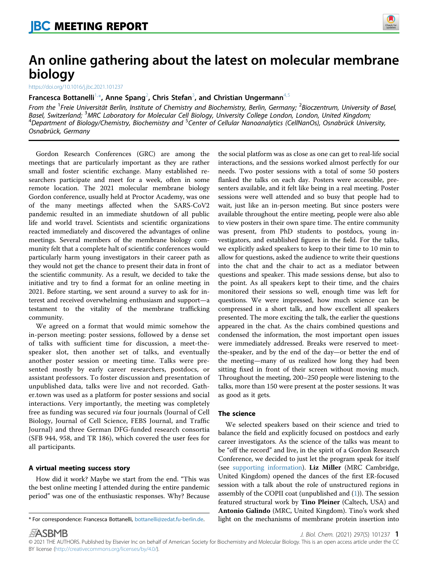

# An online gathering about the latest on molecular membrane biology

<https://doi.org/10.1016/j.jbc.2021.101237>

## Francesca Bottanelli $^{1,\ast}$  $^{1,\ast}$  $^{1,\ast}$ , Anne Spang $^2$  $^2$ , Chris Stefan $^3$  $^3$ , and Christian Ungermann $^{4,5}$  $^{4,5}$  $^{4,5}$  $^{4,5}$

<span id="page-0-2"></span><span id="page-0-1"></span><span id="page-0-0"></span>From the <sup>1</sup>Freie Universität Berlin, Institute of Chemistry and Biochemistry, Berlin, Germany; <sup>2</sup>Bioczentrum, University of Basel, From the Freeland; 3MRC Laboratory for Molecular Cell Biology, University College London, London, United Kingdom;<br>Basel, Switzerland; <sup>3</sup>MRC Laboratory for Molecular Cell Biology, University College London, London, United aser, simesmand, three eductions, for molecular een slotogy, simelisty conege London, London, onted hingdom,<br>Department of Biology/Chemistry, Biochemistry and <sup>5</sup>Center of Cellular Nanoanalytics (CellNanOs), Osnabrück Univ Osnabrück, Germany

Gordon Research Conferences (GRC) are among the meetings that are particularly important as they are rather small and foster scientific exchange. Many established researchers participate and meet for a week, often in some remote location. The 2021 molecular membrane biology Gordon conference, usually held at Proctor Academy, was one of the many meetings affected when the SARS-CoV2 pandemic resulted in an immediate shutdown of all public life and world travel. Scientists and scientific organizations reacted immediately and discovered the advantages of online meetings. Several members of the membrane biology community felt that a complete halt of scientific conferences would particularly harm young investigators in their career path as they would not get the chance to present their data in front of the scientific community. As a result, we decided to take the initiative and try to find a format for an online meeting in 2021. Before starting, we sent around a survey to ask for interest and received overwhelming enthusiasm and support—a testament to the vitality of the membrane trafficking community.

We agreed on a format that would mimic somehow the in-person meeting: poster sessions, followed by a dense set of talks with sufficient time for discussion, a meet-thespeaker slot, then another set of talks, and eventually another poster session or meeting time. Talks were presented mostly by early career researchers, postdocs, or assistant professors. To foster discussion and presentation of unpublished data, talks were live and not recorded. Gather.town was used as a platform for poster sessions and social interactions. Very importantly, the meeting was completely free as funding was secured via four journals (Journal of Cell Biology, Journal of Cell Science, FEBS Journal, and Traffic Journal) and three German DFG-funded research consortia (SFB 944, 958, and TR 186), which covered the user fees for all participants.

How did it work? Maybe we start from the end. "This was the best online meeting I attended during the entire pandemic period" was one of the enthusiastic responses. Why? Because

the social platform was as close as one can get to real-life social interactions, and the sessions worked almost perfectly for our needs. Two poster sessions with a total of some 50 posters flanked the talks on each day. Posters were accessible, presenters available, and it felt like being in a real meeting. Poster sessions were well attended and so busy that people had to wait, just like an in-person meeting. But since posters were available throughout the entire meeting, people were also able to view posters in their own spare time. The entire community was present, from PhD students to postdocs, young investigators, and established figures in the field. For the talks, we explicitly asked speakers to keep to their time to 10 min to allow for questions, asked the audience to write their questions into the chat and the chair to act as a mediator between questions and speaker. This made sessions dense, but also to the point. As all speakers kept to their time, and the chairs monitored their sessions so well, enough time was left for questions. We were impressed, how much science can be compressed in a short talk, and how excellent all speakers presented. The more exciting the talk, the earlier the questions appeared in the chat. As the chairs combined questions and condensed the information, the most important open issues were immediately addressed. Breaks were reserved to meetthe-speaker, and by the end of the day—or better the end of the meeting—many of us realized how long they had been sitting fixed in front of their screen without moving much. Throughout the meeting, 200–250 people were listening to the talks, more than 150 were present at the poster sessions. It was as good as it gets.

#### The science

We selected speakers based on their science and tried to balance the field and explicitly focused on postdocs and early career investigators. As the science of the talks was meant to be "off the record" and live, in the spirit of a Gordon Research Conference, we decided to just let the program speak for itself (see [supporting information](#page-2-0)). Liz Miller (MRC Cambridge, United Kingdom) opened the dances of the first ER-focused session with a talk about the role of unstructured regions in assembly of the COPII coat (unpublished and [\(1\)](#page-2-1)). The session featured structural work by Tino Pleiner (Caltech, USA) and Antonio Galindo (MRC, United Kingdom). Tino's work shed \* For correspondence: Francesca Bottanelli, [bottanelli@zedat.fu-berlin.de](mailto:bottanelli@zedat.fu-berlin.de). light on the mechanisms of membrane protein insertion into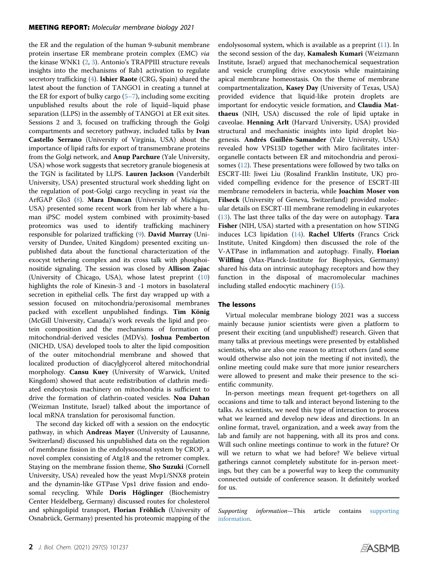the ER and the regulation of the human 9-subunit membrane protein insertase ER membrane protein complex (EMC) via the kinase WNK1 [\(2](#page-2-2), [3](#page-2-3)). Antonio's TRAPPIII structure reveals insights into the mechanisms of Rab1 activation to regulate secretory trafficking ([4\)](#page-2-4). Ishier Raote (CRG, Spain) shared the latest about the function of TANGO1 in creating a tunnel at the ER for export of bulky cargo  $(5-7)$ , including some exciting unpublished results about the role of liquid–liquid phase separation (LLPS) in the assembly of TANGO1 at ER exit sites. Sessions 2 and 3, focused on trafficking through the Golgi compartments and secretory pathway, included talks by Ivan Castello Serrano (University of Virginia, USA) about the importance of lipid rafts for export of transmembrane proteins from the Golgi network, and Anup Parchure (Yale University, USA) whose work suggests that secretory granule biogenesis at the TGN is facilitated by LLPS. Lauren Jackson (Vanderbilt University, USA) presented structural work shedding light on the regulation of post-Golgi cargo recycling in yeast via the ArfGAP Glo3 [\(8\)](#page-2-6). Mara Duncan (University of Michigan, USA) presented some recent work from her lab where a human iPSC model system combined with proximity-based proteomics was used to identify trafficking machinery responsible for polarized trafficking ([9\)](#page-2-7). David Murray (University of Dundee, United Kingdom) presented exciting unpublished data about the functional characterization of the exocyst tethering complex and its cross talk with phosphoinositide signaling. The session was closed by Allison Zajac (University of Chicago, USA), whose latest preprint [\(10\)](#page-2-8) highlights the role of Kinesin-3 and -1 motors in basolateral secretion in epithelial cells. The first day wrapped up with a session focused on mitochondria/peroxisomal membranes packed with excellent unpublished findings. Tim König (McGill University, Canada)'s work reveals the lipid and protein composition and the mechanisms of formation of mitochondrial-derived vesicles (MDVs). Joshua Pemberton (NICHD, USA) developed tools to alter the lipid composition of the outer mitochondrial membrane and showed that localized production of diacylglycerol altered mitochondrial morphology. Cansu Kuey (University of Warwick, United Kingdom) showed that acute redistribution of clathrin mediated endocytosis machinery on mitochondria is sufficient to drive the formation of clathrin-coated vesicles. Noa Dahan (Weizman Institute, Israel) talked about the importance of local mRNA translation for peroxisomal function.

The second day kicked off with a session on the endocytic pathway, in which Andreas Mayer (University of Lausanne, Switzerland) discussed his unpublished data on the regulation of membrane fission in the endolysosomal system by CROP, a novel complex consisting of Atg18 and the retromer complex. Staying on the membrane fission theme, Sho Suzuki (Cornell University, USA) revealed how the yeast Mvp1/SNX8 protein and the dynamin-like GTPase Vps1 drive fission and endosomal recycling. While Doris Höglinger (Biochemistry Center Heidelberg, Germany) discussed routes for cholesterol and sphingolipid transport, Florian Fröhlich (University of Osnabrück, Germany) presented his proteomic mapping of the

endolysosomal system, which is available as a preprint  $(11)$  $(11)$  $(11)$ . In the second session of the day, Kamalesh Kumari (Weizmann Institute, Israel) argued that mechanochemical sequestration and vesicle crumpling drive exocytosis while maintaining apical membrane homeostasis. On the theme of membrane compartmentalization, Kasey Day (University of Texas, USA) provided evidence that liquid-like protein droplets are important for endocytic vesicle formation, and Claudia Matthaeus (NIH, USA) discussed the role of lipid uptake in caveolae. Henning Arlt (Harvard University, USA) provided structural and mechanistic insights into lipid droplet biogenesis. Andrés Guillén-Samander (Yale University, USA) revealed how VPS13D together with Miro facilitates interorganelle contacts between ER and mitochondria and peroxisomes  $(12)$  $(12)$  $(12)$ . These presentations were followed by two talks on ESCRT-III: Jiwei Liu (Rosalind Franklin Institute, UK) provided compelling evidence for the presence of ESCRT-III membrane remodelers in bacteria, while Joachim Moser von Filseck (University of Geneva, Switzerland) provided molecular details on ESCRT-III membrane remodeling in eukaryotes ([13\)](#page-2-11). The last three talks of the day were on autophagy. Tara Fisher (NIH, USA) started with a presentation on how STING induces LC3 lipidation ([14\)](#page-2-12). Rachel Ulferts (Francs Crick Institute, United Kingdom) then discussed the role of the V-ATPase in inflammation and autophagy. Finally, **Florian** Wilfling (Max-Planck-Institute for Biophysics, Germany) shared his data on intrinsic autophagy receptors and how they function in the disposal of macromolecular machines including stalled endocytic machinery [\(15\)](#page-2-13).

#### **The lessons**

Virtual molecular membrane biology 2021 was a success mainly because junior scientists were given a platform to present their exciting (and unpublished!) research. Given that many talks at previous meetings were presented by established scientists, who are also one reason to attract others (and some would otherwise also not join the meeting if not invited), the online meeting could make sure that more junior researchers were allowed to present and make their presence to the scientific community.

In-person meetings mean frequent get-togethers on all occasions and time to talk and interact beyond listening to the talks. As scientists, we need this type of interaction to process what we learned and develop new ideas and directions. In an online format, travel, organization, and a week away from the lab and family are not happening, with all its pros and cons. Will such online meetings continue to work in the future? Or will we return to what we had before? We believe virtual gatherings cannot completely substitute for in-person meetings, but they can be a powerful way to keep the community connected outside of conference season. It definitely worked for us.

Supporting information—This article contains [supporting](#page-2-0) [information](#page-2-0).